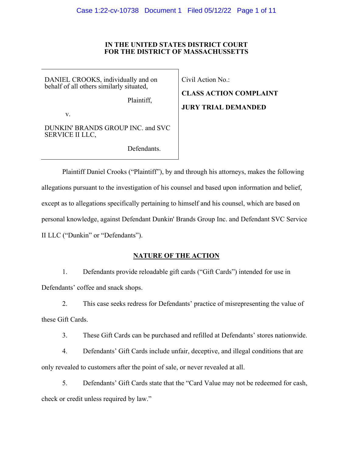# **IN THE UNITED STATES DISTRICT COURT FOR THE DISTRICT OF MASSACHUSSETTS**

DANIEL CROOKS, individually and on behalf of all others similarly situated,

Plaintiff,

v.

DUNKIN' BRANDS GROUP INC. and SVC SERVICE II LLC,

Defendants.

Civil Action No.:

**CLASS ACTION COMPLAINT JURY TRIAL DEMANDED**

Plaintiff Daniel Crooks ("Plaintiff"), by and through his attorneys, makes the following allegations pursuant to the investigation of his counsel and based upon information and belief, except as to allegations specifically pertaining to himself and his counsel, which are based on personal knowledge, against Defendant Dunkin' Brands Group Inc. and Defendant SVC Service II LLC ("Dunkin" or "Defendants").

# **NATURE OF THE ACTION**

1. Defendants provide reloadable gift cards ("Gift Cards") intended for use in Defendants' coffee and snack shops.

2. This case seeks redress for Defendants' practice of misrepresenting the value of these Gift Cards.

3. These Gift Cards can be purchased and refilled at Defendants' stores nationwide.

4. Defendants' Gift Cards include unfair, deceptive, and illegal conditions that are only revealed to customers after the point of sale, or never revealed at all.

5. Defendants' Gift Cards state that the "Card Value may not be redeemed for cash, check or credit unless required by law."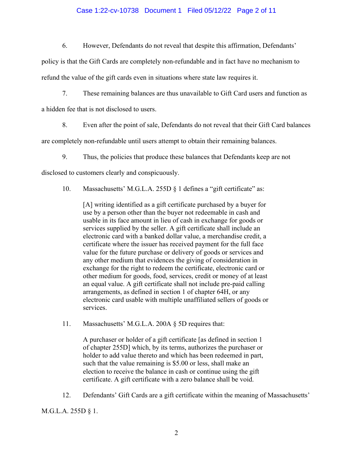# Case 1:22-cv-10738 Document 1 Filed 05/12/22 Page 2 of 11

6. However, Defendants do not reveal that despite this affirmation, Defendants'

policy is that the Gift Cards are completely non-refundable and in fact have no mechanism to refund the value of the gift cards even in situations where state law requires it.

7. These remaining balances are thus unavailable to Gift Card users and function as

a hidden fee that is not disclosed to users.

8. Even after the point of sale, Defendants do not reveal that their Gift Card balances

are completely non-refundable until users attempt to obtain their remaining balances.

9. Thus, the policies that produce these balances that Defendants keep are not

disclosed to customers clearly and conspicuously.

10. Massachusetts' M.G.L.A. 255D § 1 defines a "gift certificate" as:

[A] writing identified as a gift certificate purchased by a buyer for use by a person other than the buyer not redeemable in cash and usable in its face amount in lieu of cash in exchange for goods or services supplied by the seller. A gift certificate shall include an electronic card with a banked dollar value, a merchandise credit, a certificate where the issuer has received payment for the full face value for the future purchase or delivery of goods or services and any other medium that evidences the giving of consideration in exchange for the right to redeem the certificate, electronic card or other medium for goods, food, services, credit or money of at least an equal value. A gift certificate shall not include pre-paid calling arrangements, as defined in section 1 of chapter 64H, or any electronic card usable with multiple unaffiliated sellers of goods or services.

11. Massachusetts' M.G.L.A. 200A § 5D requires that:

A purchaser or holder of a gift certificate [as defined in section 1 of chapter 255D] which, by its terms, authorizes the purchaser or holder to add value thereto and which has been redeemed in part, such that the value remaining is \$5.00 or less, shall make an election to receive the balance in cash or continue using the gift certificate. A gift certificate with a zero balance shall be void.

12. Defendants' Gift Cards are a gift certificate within the meaning of Massachusetts'

M.G.L.A. 255D § 1.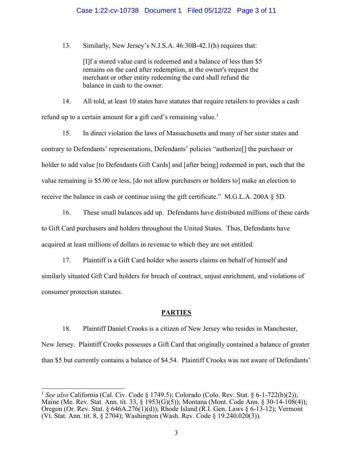#### Case 1:22-cv-10738 Document 1 Filed 05/12/22 Page 3 of 11

13. Similarly, New Jersey's N.J.S.A. 46:30B-42.1(h) requires that:

[I]f a stored value card is redeemed and a balance of less than \$5 remains on the card after redemption, at the owner's request the merchant or other entity redeeming the card shall refund the balance in cash to the owner.

14. All told, at least 10 states have statutes that require retailers to provides a cash refund up to a certain amount for a gift card's remaining value.<sup>1</sup>

15. In direct violation the laws of Massachusetts and many of her sister states and contrary to Defendants' representations, Defendants' policies "authorize[] the purchaser or holder to add value [to Defendants Gift Cards] and [after being] redeemed in part, such that the value remaining is \$5.00 or less, [do not allow purchasers or holders to] make an election to receive the balance in cash or continue using the gift certificate." M.G.L.A. 200A § 5D.

16. These small balances add up. Defendants have distributed millions of these cards to Gift Card purchasers and holders throughout the United States. Thus, Defendants have acquired at least millions of dollars in revenue to which they are not entitled.

17. Plaintiff is a Gift Card holder who asserts claims on behalf of himself and similarly situated Gift Card holders for breach of contract, unjust enrichment, and violations of consumer protection statutes.

#### **PARTIES**

18. Plaintiff Daniel Crooks is a citizen of New Jersey who resides in Manchester, New Jersey. Plaintiff Crooks possesses a Gift Card that originally contained a balance of greater than \$5 but currently contains a balance of \$4.54. Plaintiff Crooks was not aware of Defendants'

<sup>1</sup> *See also* California (Cal. Civ. Code § 1749.5); Colorado (Colo. Rev. Stat. § 6-1-722(b)(2)); Maine (Me. Rev. Stat. Ann. tit. 33, § 1953(G)(5)); Montana (Mont. Code Ann. § 30-14-108(4)); Oregon (Or. Rev. Stat. § 646A.276(1)(d)); Rhode Island (R.I. Gen. Laws § 6-13-12); Vermont (Vt. Stat. Ann. tit. 8, § 2704); Washington (Wash. Rev. Code § 19.240.020(3)).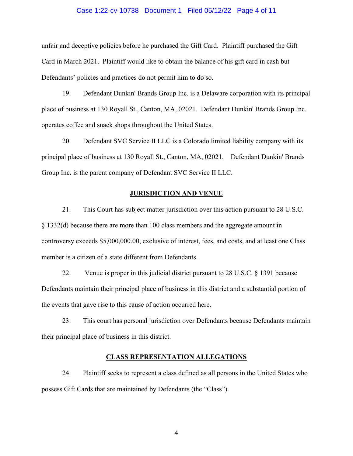#### Case 1:22-cv-10738 Document 1 Filed 05/12/22 Page 4 of 11

unfair and deceptive policies before he purchased the Gift Card. Plaintiff purchased the Gift Card in March 2021. Plaintiff would like to obtain the balance of his gift card in cash but Defendants' policies and practices do not permit him to do so.

19. Defendant Dunkin' Brands Group Inc. is a Delaware corporation with its principal place of business at 130 Royall St., Canton, MA, 02021. Defendant Dunkin' Brands Group Inc. operates coffee and snack shops throughout the United States.

20. Defendant SVC Service II LLC is a Colorado limited liability company with its principal place of business at 130 Royall St., Canton, MA, 02021. Defendant Dunkin' Brands Group Inc. is the parent company of Defendant SVC Service II LLC.

#### **JURISDICTION AND VENUE**

21. This Court has subject matter jurisdiction over this action pursuant to 28 U.S.C. § 1332(d) because there are more than 100 class members and the aggregate amount in controversy exceeds \$5,000,000.00, exclusive of interest, fees, and costs, and at least one Class member is a citizen of a state different from Defendants.

22. Venue is proper in this judicial district pursuant to 28 U.S.C. § 1391 because Defendants maintain their principal place of business in this district and a substantial portion of the events that gave rise to this cause of action occurred here.

23. This court has personal jurisdiction over Defendants because Defendants maintain their principal place of business in this district.

#### **CLASS REPRESENTATION ALLEGATIONS**

24. Plaintiff seeks to represent a class defined as all persons in the United States who possess Gift Cards that are maintained by Defendants (the "Class").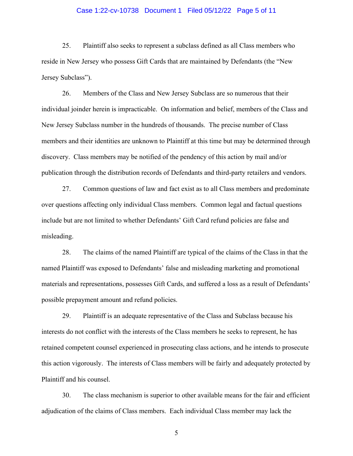#### Case 1:22-cv-10738 Document 1 Filed 05/12/22 Page 5 of 11

25. Plaintiff also seeks to represent a subclass defined as all Class members who reside in New Jersey who possess Gift Cards that are maintained by Defendants (the "New Jersey Subclass").

26. Members of the Class and New Jersey Subclass are so numerous that their individual joinder herein is impracticable. On information and belief, members of the Class and New Jersey Subclass number in the hundreds of thousands. The precise number of Class members and their identities are unknown to Plaintiff at this time but may be determined through discovery. Class members may be notified of the pendency of this action by mail and/or publication through the distribution records of Defendants and third-party retailers and vendors.

27. Common questions of law and fact exist as to all Class members and predominate over questions affecting only individual Class members. Common legal and factual questions include but are not limited to whether Defendants' Gift Card refund policies are false and misleading.

28. The claims of the named Plaintiff are typical of the claims of the Class in that the named Plaintiff was exposed to Defendants' false and misleading marketing and promotional materials and representations, possesses Gift Cards, and suffered a loss as a result of Defendants' possible prepayment amount and refund policies.

29. Plaintiff is an adequate representative of the Class and Subclass because his interests do not conflict with the interests of the Class members he seeks to represent, he has retained competent counsel experienced in prosecuting class actions, and he intends to prosecute this action vigorously. The interests of Class members will be fairly and adequately protected by Plaintiff and his counsel.

30. The class mechanism is superior to other available means for the fair and efficient adjudication of the claims of Class members. Each individual Class member may lack the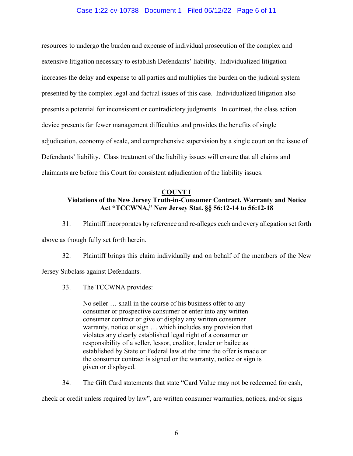## Case 1:22-cv-10738 Document 1 Filed 05/12/22 Page 6 of 11

resources to undergo the burden and expense of individual prosecution of the complex and extensive litigation necessary to establish Defendants' liability. Individualized litigation increases the delay and expense to all parties and multiplies the burden on the judicial system presented by the complex legal and factual issues of this case. Individualized litigation also presents a potential for inconsistent or contradictory judgments. In contrast, the class action device presents far fewer management difficulties and provides the benefits of single adjudication, economy of scale, and comprehensive supervision by a single court on the issue of Defendants' liability. Class treatment of the liability issues will ensure that all claims and claimants are before this Court for consistent adjudication of the liability issues.

#### **COUNT I**

# **Violations of the New Jersey Truth-in-Consumer Contract, Warranty and Notice Act "TCCWNA," New Jersey Stat. §§ 56:12-14 to 56:12-18**

31. Plaintiff incorporates by reference and re-alleges each and every allegation set forth

above as though fully set forth herein.

32. Plaintiff brings this claim individually and on behalf of the members of the New Jersey Subclass against Defendants.

33. The TCCWNA provides:

No seller … shall in the course of his business offer to any consumer or prospective consumer or enter into any written consumer contract or give or display any written consumer warranty, notice or sign … which includes any provision that violates any clearly established legal right of a consumer or responsibility of a seller, lessor, creditor, lender or bailee as established by State or Federal law at the time the offer is made or the consumer contract is signed or the warranty, notice or sign is given or displayed.

34. The Gift Card statements that state "Card Value may not be redeemed for cash, check or credit unless required by law", are written consumer warranties, notices, and/or signs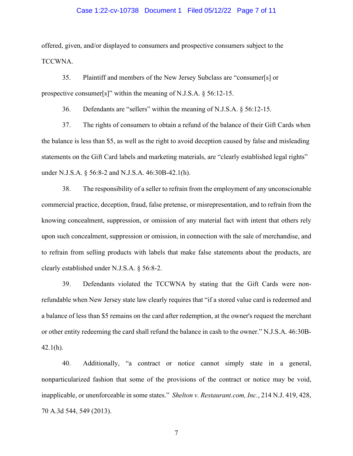#### Case 1:22-cv-10738 Document 1 Filed 05/12/22 Page 7 of 11

offered, given, and/or displayed to consumers and prospective consumers subject to the TCCWNA.

35. Plaintiff and members of the New Jersey Subclass are "consumer[s] or prospective consumer[s]" within the meaning of N.J.S.A. § 56:12-15.

36. Defendants are "sellers" within the meaning of N.J.S.A. § 56:12-15.

37. The rights of consumers to obtain a refund of the balance of their Gift Cards when the balance is less than \$5, as well as the right to avoid deception caused by false and misleading statements on the Gift Card labels and marketing materials, are "clearly established legal rights" under N.J.S.A. § 56:8-2 and N.J.S.A. 46:30B-42.1(h).

38. The responsibility of a seller to refrain from the employment of any unconscionable commercial practice, deception, fraud, false pretense, or misrepresentation, and to refrain from the knowing concealment, suppression, or omission of any material fact with intent that others rely upon such concealment, suppression or omission, in connection with the sale of merchandise, and to refrain from selling products with labels that make false statements about the products, are clearly established under N.J.S.A. § 56:8-2.

39. Defendants violated the TCCWNA by stating that the Gift Cards were nonrefundable when New Jersey state law clearly requires that "if a stored value card is redeemed and a balance of less than \$5 remains on the card after redemption, at the owner's request the merchant or other entity redeeming the card shall refund the balance in cash to the owner." N.J.S.A. 46:30B-42.1(h).

40. Additionally, "a contract or notice cannot simply state in a general, nonparticularized fashion that some of the provisions of the contract or notice may be void, inapplicable, or unenforceable in some states." *Shelton v. Restaurant.com, Inc.*, 214 N.J. 419, 428, 70 A.3d 544, 549 (2013).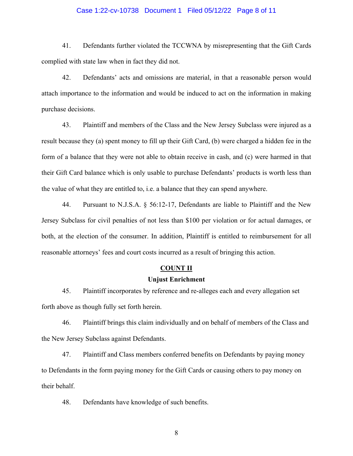#### Case 1:22-cv-10738 Document 1 Filed 05/12/22 Page 8 of 11

41. Defendants further violated the TCCWNA by misrepresenting that the Gift Cards complied with state law when in fact they did not.

42. Defendants' acts and omissions are material, in that a reasonable person would attach importance to the information and would be induced to act on the information in making purchase decisions.

43. Plaintiff and members of the Class and the New Jersey Subclass were injured as a result because they (a) spent money to fill up their Gift Card, (b) were charged a hidden fee in the form of a balance that they were not able to obtain receive in cash, and (c) were harmed in that their Gift Card balance which is only usable to purchase Defendants' products is worth less than the value of what they are entitled to, i.e. a balance that they can spend anywhere.

44. Pursuant to N.J.S.A. § 56:12-17, Defendants are liable to Plaintiff and the New Jersey Subclass for civil penalties of not less than \$100 per violation or for actual damages, or both, at the election of the consumer. In addition, Plaintiff is entitled to reimbursement for all reasonable attorneys' fees and court costs incurred as a result of bringing this action.

#### **COUNT II**

# **Unjust Enrichment**

45. Plaintiff incorporates by reference and re-alleges each and every allegation set forth above as though fully set forth herein.

46. Plaintiff brings this claim individually and on behalf of members of the Class and the New Jersey Subclass against Defendants.

47. Plaintiff and Class members conferred benefits on Defendants by paying money to Defendants in the form paying money for the Gift Cards or causing others to pay money on their behalf.

48. Defendants have knowledge of such benefits.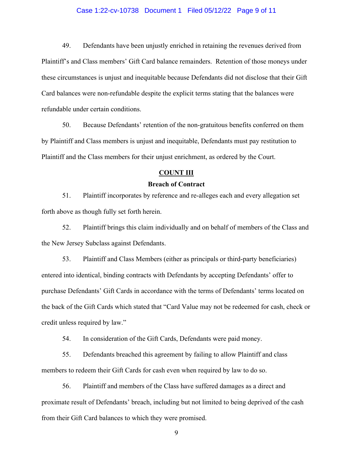#### Case 1:22-cv-10738 Document 1 Filed 05/12/22 Page 9 of 11

49. Defendants have been unjustly enriched in retaining the revenues derived from Plaintiff's and Class members' Gift Card balance remainders. Retention of those moneys under these circumstances is unjust and inequitable because Defendants did not disclose that their Gift Card balances were non-refundable despite the explicit terms stating that the balances were refundable under certain conditions.

50. Because Defendants' retention of the non-gratuitous benefits conferred on them by Plaintiff and Class members is unjust and inequitable, Defendants must pay restitution to Plaintiff and the Class members for their unjust enrichment, as ordered by the Court.

#### **COUNT III**

# **Breach of Contract**

51. Plaintiff incorporates by reference and re-alleges each and every allegation set forth above as though fully set forth herein.

52. Plaintiff brings this claim individually and on behalf of members of the Class and the New Jersey Subclass against Defendants.

53. Plaintiff and Class Members (either as principals or third-party beneficiaries) entered into identical, binding contracts with Defendants by accepting Defendants' offer to purchase Defendants' Gift Cards in accordance with the terms of Defendants' terms located on the back of the Gift Cards which stated that "Card Value may not be redeemed for cash, check or credit unless required by law."

54. In consideration of the Gift Cards, Defendants were paid money.

55. Defendants breached this agreement by failing to allow Plaintiff and class members to redeem their Gift Cards for cash even when required by law to do so.

56. Plaintiff and members of the Class have suffered damages as a direct and proximate result of Defendants' breach, including but not limited to being deprived of the cash from their Gift Card balances to which they were promised.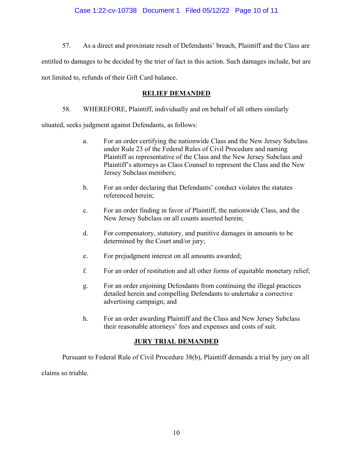57. As a direct and proximate result of Defendants' breach, Plaintiff and the Class are

entitled to damages to be decided by the trier of fact in this action. Such damages include, but are

not limited to, refunds of their Gift Card balance.

# **RELIEF DEMANDED**

58. WHEREFORE, Plaintiff, individually and on behalf of all others similarly

situated, seeks judgment against Defendants, as follows:

- a. For an order certifying the nationwide Class and the New Jersey Subclass under Rule 23 of the Federal Rules of Civil Procedure and naming Plaintiff as representative of the Class and the New Jersey Subclass and Plaintiff's attorneys as Class Counsel to represent the Class and the New Jersey Subclass members;
- b. For an order declaring that Defendants' conduct violates the statutes referenced herein;
- c. For an order finding in favor of Plaintiff, the nationwide Class, and the New Jersey Subclass on all counts asserted herein;
- d. For compensatory, statutory, and punitive damages in amounts to be determined by the Court and/or jury;
- e. For prejudgment interest on all amounts awarded;
- f. For an order of restitution and all other forms of equitable monetary relief;
- g. For an order enjoining Defendants from continuing the illegal practices detailed herein and compelling Defendants to undertake a corrective advertising campaign; and
- h. For an order awarding Plaintiff and the Class and New Jersey Subclass their reasonable attorneys' fees and expenses and costs of suit.

# **JURY TRIAL DEMANDED**

Pursuant to Federal Rule of Civil Procedure 38(b), Plaintiff demands a trial by jury on all

claims so triable.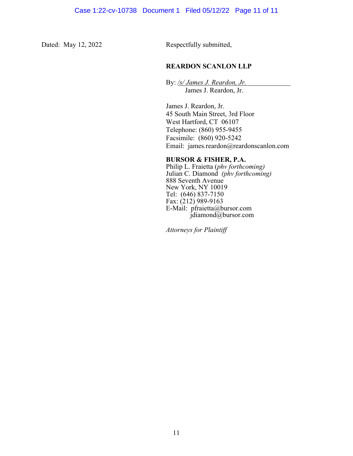Dated: May 12, 2022 Respectfully submitted,

# **REARDON SCANLON LLP**

By: */s/ James J. Reardon, Jr.* James J. Reardon, Jr.

James J. Reardon, Jr. 45 South Main Street, 3rd Floor West Hartford, CT 06107 Telephone: (860) 955-9455 Facsimile: (860) 920-5242 Email: james.reardon@reardonscanlon.com

## **BURSOR & FISHER, P.A.**

Philip L. Fraietta (*phv forthcoming)* Julian C. Diamond *(phv forthcoming)* 888 Seventh Avenue New York, NY 10019 Tel: (646) 837-7150 Fax: (212) 989-9163 E-Mail: pfraietta@bursor.com jdiamond@bursor.com

*Attorneys for Plaintiff*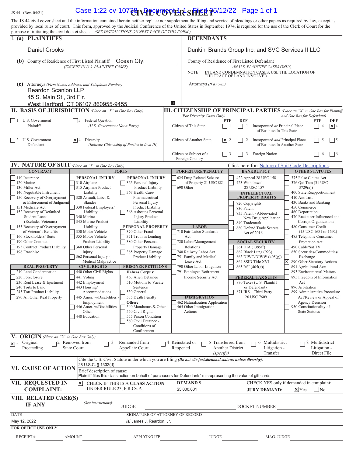**US 44** (Rev. 04/21) **Case 1:22-cv-107<del>28</del> \RPCUTO VER SHEE**  $\Phi$ 5/12/22 Page 1 of 1 The JS 44 civil cover sheet and the information contained herein neither replace nor supplement the filing and service of pleadings or other papers as required by law, except as provided by local rules of court. This form, approved by the Judicial Conference of the United States in September 1974, is required for the use of the Clerk of Court for the purpose of initiating the civil docket sheet. *(SEE INSTRUCTIONS ON NEXT PAGE OF THIS FORM.)* I. **(a) PLAINTIFFS** DEFENDANTS Daniel Crooks Dunkin' Brands Group Inc. and SVC Services II LLC (b) County of Residence of First Listed Plaintiff Ccean Cty. County of Residence of First Listed Defendant *(EXCEPT IN U.S. PLAINTIFF CASES) (IN U.S. PLAINTIFF CASES ONLY)* NOTE: IN LAND CONDEMNATION CASES, USE THE LOCATION OF THE TRACT OF LAND INVOLVED. **(c)** Attorneys *(Firm Name, Address, and Telephone Number)* Attorneys *(If Known)* Reardon Scanlon LLP 45 S. Main St., 3rd Flr. E. West Hartford, CT 06107 860955-9455 **III. CITIZENSHIP OF PRINCIPAL PARTIES** *(Place an "X" in One Box for Plaintiff (For Diversity Cases Only) and One Box for Defendant*) *and One Box for Defendant*) *(For Diversity Cases Only) and One Box for Defendant)*  1 U.S. Government **3** Federal Question **1 PTF DEF PTF DEF PTF DEF PTF DEF** Plaintiff *(U.S. Government Not a Party)* Citizen of This State 1 1 Incorporated *or* Principal Place 4 4  $\mathbf{X}$  4 of Business In This State  $\sqrt{4}$  Diversity  $\sqrt{4}$ 2 U.S. Government  $\vert \mathbf{x} \vert$  2 Diversity **2** 2 Diversity Citizen of Another State  $\vert \mathbf{x} \vert$  2 Discorporated *and* Principal Place  $\vert$  5 5 5

| $\vert$ $\vert$ 2 U.S. Government<br>Defendant                                                                                                                                                                                                                                                                                                                                                                                                                                                                                                                                                                                     | $ \mathbf{X} $ 4 Diversity                                                                                                                                                                                                                                                                                                                                                                                                                                                                                                                                                   | (Indicate Citizenship of Parties in Item III)                                                                                                                                                                                                                                                                                                                                                                                                                                                                                                                                                                                                                     | Citizen of Another State<br>$ \mathbf{X} $ 2                                                                                                                                                                                                                                                                                                                                                        | $\mathcal{L}$<br>Incorporated <i>and</i> Principal Place<br>of Business In Another State                                                                                                                                                                                                                                                                                                                                                                                                                         | $\mathcal{L}$<br>⊔∍                                                                                                                                                                                                                                                                                                                                                                                                                                                                                                                                                                                                                                                                           |  |
|------------------------------------------------------------------------------------------------------------------------------------------------------------------------------------------------------------------------------------------------------------------------------------------------------------------------------------------------------------------------------------------------------------------------------------------------------------------------------------------------------------------------------------------------------------------------------------------------------------------------------------|------------------------------------------------------------------------------------------------------------------------------------------------------------------------------------------------------------------------------------------------------------------------------------------------------------------------------------------------------------------------------------------------------------------------------------------------------------------------------------------------------------------------------------------------------------------------------|-------------------------------------------------------------------------------------------------------------------------------------------------------------------------------------------------------------------------------------------------------------------------------------------------------------------------------------------------------------------------------------------------------------------------------------------------------------------------------------------------------------------------------------------------------------------------------------------------------------------------------------------------------------------|-----------------------------------------------------------------------------------------------------------------------------------------------------------------------------------------------------------------------------------------------------------------------------------------------------------------------------------------------------------------------------------------------------|------------------------------------------------------------------------------------------------------------------------------------------------------------------------------------------------------------------------------------------------------------------------------------------------------------------------------------------------------------------------------------------------------------------------------------------------------------------------------------------------------------------|-----------------------------------------------------------------------------------------------------------------------------------------------------------------------------------------------------------------------------------------------------------------------------------------------------------------------------------------------------------------------------------------------------------------------------------------------------------------------------------------------------------------------------------------------------------------------------------------------------------------------------------------------------------------------------------------------|--|
|                                                                                                                                                                                                                                                                                                                                                                                                                                                                                                                                                                                                                                    |                                                                                                                                                                                                                                                                                                                                                                                                                                                                                                                                                                              |                                                                                                                                                                                                                                                                                                                                                                                                                                                                                                                                                                                                                                                                   | Citizen or Subject of a<br>Foreign Country                                                                                                                                                                                                                                                                                                                                                          | Foreign Nation<br>3<br>3                                                                                                                                                                                                                                                                                                                                                                                                                                                                                         | $\Box$ 6<br>6                                                                                                                                                                                                                                                                                                                                                                                                                                                                                                                                                                                                                                                                                 |  |
| IV. NATURE OF SUIT (Place an "X" in One Box Only)                                                                                                                                                                                                                                                                                                                                                                                                                                                                                                                                                                                  |                                                                                                                                                                                                                                                                                                                                                                                                                                                                                                                                                                              |                                                                                                                                                                                                                                                                                                                                                                                                                                                                                                                                                                                                                                                                   |                                                                                                                                                                                                                                                                                                                                                                                                     | Click here for: Nature of Suit Code Descriptions.                                                                                                                                                                                                                                                                                                                                                                                                                                                                |                                                                                                                                                                                                                                                                                                                                                                                                                                                                                                                                                                                                                                                                                               |  |
| <b>CONTRACT</b>                                                                                                                                                                                                                                                                                                                                                                                                                                                                                                                                                                                                                    |                                                                                                                                                                                                                                                                                                                                                                                                                                                                                                                                                                              | <b>TORTS</b>                                                                                                                                                                                                                                                                                                                                                                                                                                                                                                                                                                                                                                                      | <b>FORFEITURE/PENALTY</b>                                                                                                                                                                                                                                                                                                                                                                           | <b>BANKRUPTCY</b>                                                                                                                                                                                                                                                                                                                                                                                                                                                                                                | <b>OTHER STATUTES</b>                                                                                                                                                                                                                                                                                                                                                                                                                                                                                                                                                                                                                                                                         |  |
| 110 Insurance<br>120 Marine<br>130 Miller Act<br>140 Negotiable Instrument<br>150 Recovery of Overpayment<br>& Enforcement of Judgment<br>151 Medicare Act<br>152 Recovery of Defaulted<br><b>Student Loans</b><br>(Excludes Veterans)<br>153 Recovery of Overpayment<br>of Veteran's Benefits<br>160 Stockholders' Suits<br>190 Other Contract<br>195 Contract Product Liability<br>196 Franchise<br><b>REAL PROPERTY</b><br>210 Land Condemnation<br>220 Foreclosure<br>230 Rent Lease & Ejectment<br>240 Torts to Land<br>245 Tort Product Liability<br>290 All Other Real Property<br>V. ORIGIN (Place an "X" in One Box Only) | <b>PERSONAL INJURY</b><br>310 Airplane<br>315 Airplane Product<br>Liability<br>320 Assault, Libel &<br>Slander<br>330 Federal Employers'<br>Liability<br>340 Marine<br>345 Marine Product<br>Liability<br>350 Motor Vehicle<br>355 Motor Vehicle<br>Product Liability<br>360 Other Personal<br>Injury<br>362 Personal Injury -<br>Medical Malpractice<br><b>CIVIL RIGHTS</b><br>440 Other Civil Rights<br>441 Voting<br>442 Employment<br>443 Housing/<br>Accommodations<br>445 Amer. w/Disabilities -<br>Employment<br>446 Amer. w/Disabilities -<br>Other<br>448 Education | PERSONAL INJURY<br>365 Personal Injury -<br>Product Liability<br>367 Health Care/<br>Pharmaceutical<br>Personal Injury<br>Product Liability<br>368 Asbestos Personal<br><b>Injury Product</b><br>Liability<br><b>PERSONAL PROPERTY</b><br>370 Other Fraud<br>371 Truth in Lending<br>380 Other Personal<br>Property Damage<br>385 Property Damage<br>Product Liability<br><b>PRISONER PETITIONS</b><br><b>Habeas Corpus:</b><br>463 Alien Detainee<br>510 Motions to Vacate<br>Sentence<br>530 General<br>535 Death Penalty<br>Other:<br>540 Mandamus & Other<br>550 Civil Rights<br>555 Prison Condition<br>560 Civil Detainee -<br>Conditions of<br>Confinement | 625 Drug Related Seizure<br>of Property 21 USC 881<br>690 Other<br><b>LABOR</b><br>710 Fair Labor Standards<br>Act<br>720 Labor/Management<br>Relations<br>740 Railway Labor Act<br>751 Family and Medical<br>Leave Act<br>790 Other Labor Litigation<br>791 Employee Retirement<br>Income Security Act<br><b>IMMIGRATION</b><br>462 Naturalization Application<br>465 Other Immigration<br>Actions | 422 Appeal 28 USC 158<br>423 Withdrawal<br>28 USC 157<br><b>INTELLECTUAL</b><br><b>PROPERTY RIGHTS</b><br>820 Copyrights<br>830 Patent<br>835 Patent - Abbreviated<br>New Drug Application<br>840 Trademark<br>880 Defend Trade Secrets<br>Act of 2016<br><b>SOCIAL SECURITY</b><br>861 HIA (1395ff)<br>862 Black Lung (923)<br>863 DIWC/DIWW (405(g))<br>864 SSID Title XVI<br>865 RSI (405(g))<br><b>FEDERAL TAX SUITS</b><br>870 Taxes (U.S. Plaintiff<br>or Defendant)<br>871 IRS-Third Party<br>26 USC 7609 | 375 False Claims Act<br>376 Qui Tam (31 USC<br>3729(a)<br>400 State Reapportionment<br>410 Antitrust<br>430 Banks and Banking<br>450 Commerce<br>460 Deportation<br>470 Racketeer Influenced and<br>Corrupt Organizations<br>480 Consumer Credit<br>$(15$ USC 1681 or 1692)<br>485 Telephone Consumer<br>Protection Act<br>490 Cable/Sat TV<br>850 Securities/Commodities/<br>Exchange<br>$\mathsf{x}$<br>890 Other Statutory Actions<br>891 Agricultural Acts<br>893 Environmental Matters<br>895 Freedom of Information<br>Act<br>896 Arbitration<br>899 Administrative Procedure<br>Act/Review or Appeal of<br><b>Agency Decision</b><br>950 Constitutionality of<br><b>State Statutes</b> |  |
| Original<br>$\mathbf{X}$ $^{1}$<br>Proceeding                                                                                                                                                                                                                                                                                                                                                                                                                                                                                                                                                                                      | Removed from<br>3<br><b>State Court</b>                                                                                                                                                                                                                                                                                                                                                                                                                                                                                                                                      | Remanded from<br>Appellate Court                                                                                                                                                                                                                                                                                                                                                                                                                                                                                                                                                                                                                                  | 5 Transferred from<br>4 Reinstated or<br>Reopened<br>(specify)                                                                                                                                                                                                                                                                                                                                      | 6 Multidistrict<br><b>Another District</b><br>Litigation -<br>Transfer                                                                                                                                                                                                                                                                                                                                                                                                                                           | 8 Multidistrict<br>Litigation -<br>Direct File                                                                                                                                                                                                                                                                                                                                                                                                                                                                                                                                                                                                                                                |  |
|                                                                                                                                                                                                                                                                                                                                                                                                                                                                                                                                                                                                                                    |                                                                                                                                                                                                                                                                                                                                                                                                                                                                                                                                                                              |                                                                                                                                                                                                                                                                                                                                                                                                                                                                                                                                                                                                                                                                   | Cite the U.S. Civil Statute under which you are filing (Do not cite jurisdictional statutes unless diversity):                                                                                                                                                                                                                                                                                      |                                                                                                                                                                                                                                                                                                                                                                                                                                                                                                                  |                                                                                                                                                                                                                                                                                                                                                                                                                                                                                                                                                                                                                                                                                               |  |
| <b>VI. CAUSE OF ACTION</b>                                                                                                                                                                                                                                                                                                                                                                                                                                                                                                                                                                                                         | 28 U.S.C. § 1332(d)                                                                                                                                                                                                                                                                                                                                                                                                                                                                                                                                                          | Brief description of cause:<br>Plaintiff files this class action on behalf of purchasers for Defendants' misrepresenting the value of gift cards.                                                                                                                                                                                                                                                                                                                                                                                                                                                                                                                 |                                                                                                                                                                                                                                                                                                                                                                                                     |                                                                                                                                                                                                                                                                                                                                                                                                                                                                                                                  |                                                                                                                                                                                                                                                                                                                                                                                                                                                                                                                                                                                                                                                                                               |  |
| VII. REQUESTED IN                                                                                                                                                                                                                                                                                                                                                                                                                                                                                                                                                                                                                  | CHECK YES only if demanded in complaint:<br><b>DEMANDS</b><br>$\vert x \vert$<br>CHECK IF THIS IS A CLASS ACTION                                                                                                                                                                                                                                                                                                                                                                                                                                                             |                                                                                                                                                                                                                                                                                                                                                                                                                                                                                                                                                                                                                                                                   |                                                                                                                                                                                                                                                                                                                                                                                                     |                                                                                                                                                                                                                                                                                                                                                                                                                                                                                                                  |                                                                                                                                                                                                                                                                                                                                                                                                                                                                                                                                                                                                                                                                                               |  |
| <b>COMPLAINT:</b>                                                                                                                                                                                                                                                                                                                                                                                                                                                                                                                                                                                                                  | UNDER RULE 23, F.R.Cv.P.                                                                                                                                                                                                                                                                                                                                                                                                                                                                                                                                                     |                                                                                                                                                                                                                                                                                                                                                                                                                                                                                                                                                                                                                                                                   | \$5,000,001                                                                                                                                                                                                                                                                                                                                                                                         | <b>JURY DEMAND:</b>                                                                                                                                                                                                                                                                                                                                                                                                                                                                                              | $\sqrt{\mathbf{x}}$ Yes<br> No                                                                                                                                                                                                                                                                                                                                                                                                                                                                                                                                                                                                                                                                |  |

| VIII. RELATED CASE(S)<br><b>IF ANY</b> | (See instructions): |                                 |              |               |  |  |
|----------------------------------------|---------------------|---------------------------------|--------------|---------------|--|--|
|                                        |                     | <b>JUDGE</b>                    |              | DOCKET NUMBER |  |  |
| DATE                                   |                     | SIGNATURE OF ATTORNEY OF RECORD |              |               |  |  |
| May 12, 2022                           |                     | /s/ James J. Reardon, Jr.       |              |               |  |  |
| <b>FOR OFFICE USE ONLY</b>             |                     |                                 |              |               |  |  |
| <b>RECEIPT#</b>                        | <b>AMOUNT</b>       | <b>APPLYING IFP</b>             | <b>JUDGE</b> | MAG. JUDGE    |  |  |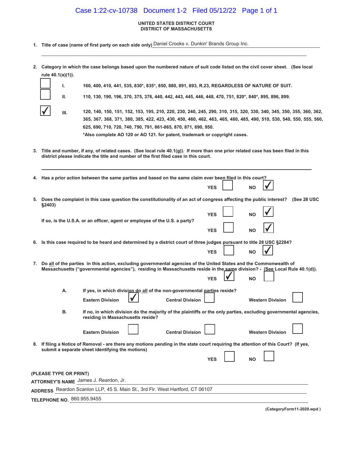# Case 1:22-cv-10738 Document 1-2 Filed 05/12/22 Page 1 of 1

#### **UNITED STATES DISTRICT COURT DISTRICT OF MASSACHUSETTS**

**1. Title of case (name of first party on each side only)** Daniel Crooks v. Dunkin' Brands Group Inc.

**,**

 **Category in which the case belongs based upon the numbered nature of suit code listed on the civil cover sheet. (See local rule 40.1(a)(1)).**

**40, 41, 4, 535, 830\*, 8, 893, R.23, REGARDLESS OF NATURE OF SUIT.**

|        | Ш.   | 110, 130, 190, 196, 370, 375, 376, 440, 442, 443, 445, 446, 448, 470, 751, 820*, 840*, 895, 896, 899.                                                                                                                                                                                                                                                                                     |                         |                          |                 |                         |             |
|--------|------|-------------------------------------------------------------------------------------------------------------------------------------------------------------------------------------------------------------------------------------------------------------------------------------------------------------------------------------------------------------------------------------------|-------------------------|--------------------------|-----------------|-------------------------|-------------|
|        | III. | 120, 140, 150, 151, 152, 153, 195, 210, 220, 230, 240, 245, 290, 310, 315, 320, 330, 340, 345, 350, 355, 360, 362,<br>365, 367, 368, 371, 380, 385, 422, 423, 430, 450, 460, 462, 463, 465, 480, 485, 490, 510, 530, 540, 550, 555, 560,<br>625, 690, 710, 720, 740, 790, 791, 861-865, 870, 871, 890, 950.<br>*Also complete AO 120 or AO 121. for patent, trademark or copyright cases. |                         |                          |                 |                         |             |
|        |      | 3. Title and number, if any, of related cases. (See local rule $40.1(g)$ ). If more than one prior related case has been filed in this<br>district please indicate the title and number of the first filed case in this court.                                                                                                                                                            |                         |                          |                 |                         |             |
|        |      | 4. Has a prior action between the same parties and based on the same claim ever been filed in this court?                                                                                                                                                                                                                                                                                 |                         | <b>YES</b>               | NΟ              |                         |             |
| §2403) |      | 5. Does the complaint in this case question the constitutionality of an act of congress affecting the public interest?                                                                                                                                                                                                                                                                    |                         |                          |                 |                         | (See 28 USC |
|        |      | If so, is the U.S.A. or an officer, agent or employee of the U.S. a party?                                                                                                                                                                                                                                                                                                                |                         | <b>YES</b><br><b>YES</b> | NΟ<br><b>NO</b> |                         |             |
|        |      | 6. Is this case required to be heard and determined by a district court of three judges pursuant to title 28 USC §2284?                                                                                                                                                                                                                                                                   |                         | <b>YES</b>               | <b>NO</b>       |                         |             |
|        |      | 7. Do all of the parties in this action, excluding governmental agencies of the United States and the Commonwealth of<br>Massachusetts ("governmental agencies"), residing in Massachusetts reside in the same division? - (See Local Rule 40.1(d)).                                                                                                                                      |                         | <b>YES</b>               | <b>NO</b>       |                         |             |
|        | А.   | If yes, in which division do all of the non-governmental parties reside?<br><b>Eastern Division</b>                                                                                                                                                                                                                                                                                       | <b>Central Division</b> |                          |                 | <b>Western Division</b> |             |
|        | В.   | If no, in which division do the majority of the plaintiffs or the only parties, excluding governmental agencies,<br>residing in Massachusetts reside?                                                                                                                                                                                                                                     |                         |                          |                 |                         |             |
|        |      |                                                                                                                                                                                                                                                                                                                                                                                           |                         |                          |                 |                         |             |

**8. If filing a Notice of Removal - are there any motions pending in the state court requiring the attention of this Court? (If yes, submit a separate sheet identifying the motions)**  $YES$  **NO**  $\Box$ 

**Eastern Division L Central Division L Western Division L** 

| (PLEASE TYPE OR PRINT)                                                        |  |  |  |  |
|-------------------------------------------------------------------------------|--|--|--|--|
| ATTORNEY'S NAME James J. Reardon, Jr.                                         |  |  |  |  |
| ADDRESS Reardon Scanlon LLP, 45 S. Main St., 3rd Flr. West Hartford, CT 06107 |  |  |  |  |
| TELEPHONE NO. 860.955.9455                                                    |  |  |  |  |

**(CategoryForm-20.wpd )**